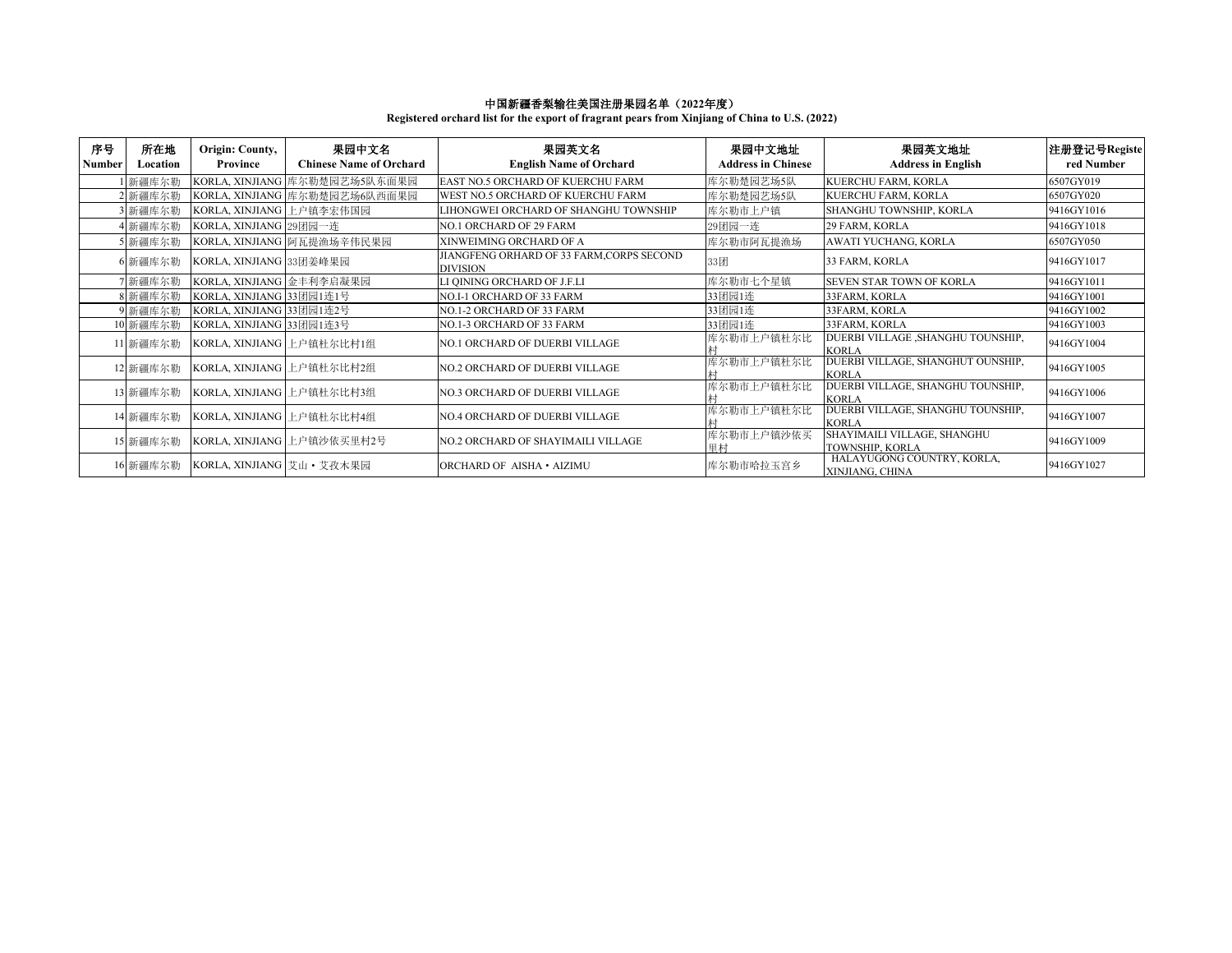## 中国新疆香梨输往美国注册果园名单(**2022**年度)

**Registered orchard list for the export of fragrant pears from Xinjiang of China to U.S. (2022)**

| 序号<br>Number | 所在地<br>Location | Origin: County,<br>Province | 果园中文名<br><b>Chinese Name of Orchard</b> | 果园英文名<br><b>English Name of Orchard</b>               | 果园中文地址<br><b>Address in Chinese</b> | 果园英文地址<br><b>Address in English</b>               | 注册登记号Registe<br>red Number |
|--------------|-----------------|-----------------------------|-----------------------------------------|-------------------------------------------------------|-------------------------------------|---------------------------------------------------|----------------------------|
|              | 新疆库尔勒           |                             | KORLA, XINJIANG 库尔勒楚园艺场5队东面果园           | EAST NO.5 ORCHARD OF KUERCHU FARM                     | 库尔勒楚园艺场5队                           | KUERCHU FARM, KORLA                               | 6507GY019                  |
|              | 2 新疆库尔勒         |                             | KORLA, XINJIANG 库尔勒楚园艺场6队西面果园           | WEST NO.5 ORCHARD OF KUERCHU FARM                     | 库尔勒楚园艺场5队                           | KUERCHU FARM, KORLA                               | 6507GY020                  |
|              | 3 新疆库尔勒         | KORLA, XINJIANG 上户镇李宏伟国园    |                                         | LIHONGWEI ORCHARD OF SHANGHU TOWNSHIP                 | 库尔勒市上户镇                             | SHANGHU TOWNSHIP, KORLA                           | 9416GY1016                 |
|              | 4 新疆库尔勒         | KORLA, XINJIANG 29团园一连      |                                         | NO.1 ORCHARD OF 29 FARM                               | 29团园一连                              | 29 FARM, KORLA                                    | 9416GY1018                 |
|              | 5 新疆库尔勒         |                             | KORLA, XINJIANG 阿瓦提渔场辛伟民果园              | XINWEIMING ORCHARD OF A                               | 库尔勒市阿瓦提渔场                           | AWATI YUCHANG, KORLA                              | 6507GY050                  |
|              | 6 新疆库尔勒         | KORLA, XINJIANG 33团姜峰果园     |                                         | JIANGFENG ORHARD OF 33 FARM, CORPS SECOND<br>DIVISION | 33团                                 | 33 FARM, KORLA                                    | 9416GY1017                 |
|              | 7 新疆库尔勒         | KORLA, XINJIANG 金丰利李启凝果园    |                                         | LI QINING ORCHARD OF J.F.LI                           | 库尔勒市七个星镇                            | SEVEN STAR TOWN OF KORLA                          | 9416GY1011                 |
|              | 8 新疆库尔勒         | KORLA, XINJIANG 33团园1连1号    |                                         | NO.I-1 ORCHARD OF 33 FARM                             | 33团园1连                              | 33FARM, KORLA                                     | 9416GY1001                 |
|              | 9 新疆库尔勒         | KORLA, XINJIANG 33团园1连2号    |                                         | NO.1-2 ORCHARD OF 33 FARM                             | 33团园1连                              | 33FARM, KORLA                                     | 9416GY1002                 |
|              | 10 新疆库尔勒        | KORLA, XINJIANG 33团园1连3号    |                                         | NO.1-3 ORCHARD OF 33 FARM                             | 33团园1连                              | 33FARM, KORLA                                     | 9416GY1003                 |
|              | 11 新疆库尔勒        |                             | KORLA, XINJIANG 上户镇杜尔比村1组               | <b>NO.1 ORCHARD OF DUERBI VILLAGE</b>                 | 库尔勒市上户镇杜尔比                          | DUERBI VILLAGE ,SHANGHU TOUNSHIP,<br><b>KORLA</b> | 9416GY1004                 |
|              | 12 新疆库尔勒        |                             | KORLA, XINJIANG 上户镇杜尔比村2组               | <b>NO.2 ORCHARD OF DUERBI VILLAGE</b>                 | 库尔勒市上户镇杜尔比                          | DUERBI VILLAGE, SHANGHUT OUNSHIP,<br><b>KORLA</b> | 9416GY1005                 |
|              | 13 新疆库尔勒        |                             | KORLA, XINJIANG 上户镇杜尔比村3组               | <b>NO.3 ORCHARD OF DUERBI VILLAGE</b>                 | 库尔勒市上户镇杜尔比                          | DUERBI VILLAGE, SHANGHU TOUNSHIP,<br><b>KORLA</b> | 9416GY1006                 |
|              | 14 新疆库尔勒        |                             | KORLA, XINJIANG 上户镇杜尔比村4组               | <b>NO.4 ORCHARD OF DUERBI VILLAGE</b>                 | 库尔勒市上户镇杜尔比                          | DUERBI VILLAGE, SHANGHU TOUNSHIP,<br><b>KORLA</b> | 9416GY1007                 |
|              | 15 新疆库尔勒        |                             | KORLA, XINJIANG 上户镇沙依买里村2号              | NO.2 ORCHARD OF SHAYIMAILI VILLAGE                    | 库尔勒市上户镇沙依买<br>甲村                    | SHAYIMAILI VILLAGE, SHANGHU<br>TOWNSHIP, KORLA    | 9416GY1009                 |
|              | 16 新疆库尔勒        | KORLA, XINJIANG 艾山・艾孜木果园    |                                         | ORCHARD OF AISHA · AIZIMU                             | 库尔勒市哈拉玉宫乡                           | HALAYUGONG COUNTRY, KORLA,<br>XINJIANG, CHINA     | 9416GY1027                 |